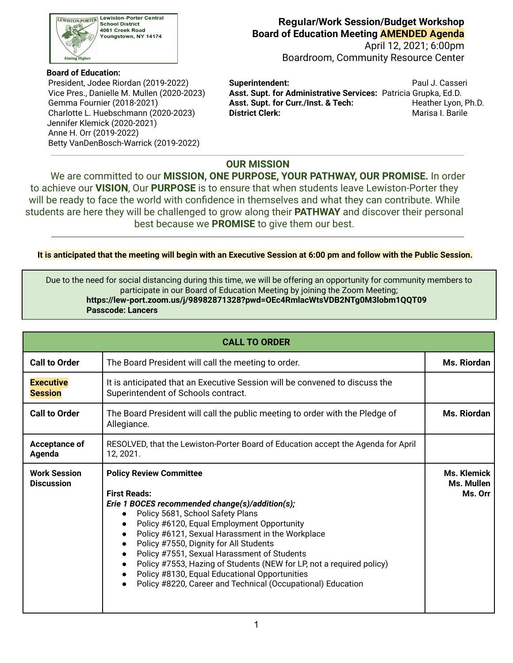

### **Board of Education:**

Vice Pres., Danielle M. Mullen (2020-2023) Gemma Fournier (2018-2021) Jennifer Klemick (2020-2021) Anne H. Orr (2019-2022) Betty VanDenBosch-Warrick (2019-2022)

### **Regular/Work Session/Budget Workshop Board of Education Meeting AMENDED Agenda**

April 12, 2021; 6:00pm Boardroom, Community Resource Center

 President, Jodee Riordan (2019-2022) **Superintendent:** Paul J. Casseri Charlotte L. Huebschmann (2020-2023) **District Clerk:** Marisa I. Barile **Asst. Supt. for Administrative Services: Patricia Grupka, Ed.D.** Asst. Supt. for Curr./Inst. & Tech: Heather Lyon, Ph.D.

# **OUR MISSION**

We are committed to our **MISSION, ONE PURPOSE, YOUR PATHWAY, OUR PROMISE.** In order to achieve our **VISION**, Our **PURPOSE** is to ensure that when students leave Lewiston-Porter they will be ready to face the world with confidence in themselves and what they can contribute. While students are here they will be challenged to grow along their **PATHWAY** and discover their personal best because we **PROMISE** to give them our best.

<u>It is anticipated that the meeting will begin with an Executive Session at 6:00 pm and follow with the Public Session.</u>

 Due to the need for social distancing during this time, we will be offering an opportunity for community members to participate in our Board of Education Meeting by joining the Zoom Meeting; **<https://lew-port.zoom.us/j/98982871328?pwd=OEc4RmlacWtsVDB2NTg0M3lobm1QQT09> Passcode: Lancers**

| <b>CALL TO ORDER</b>                     |                                                                                                                                                                                                                                                                                                                                                                                                                                                                                                                                 |                                      |  |
|------------------------------------------|---------------------------------------------------------------------------------------------------------------------------------------------------------------------------------------------------------------------------------------------------------------------------------------------------------------------------------------------------------------------------------------------------------------------------------------------------------------------------------------------------------------------------------|--------------------------------------|--|
| <b>Call to Order</b>                     | The Board President will call the meeting to order.                                                                                                                                                                                                                                                                                                                                                                                                                                                                             | Ms. Riordan                          |  |
| <b>Executive</b><br><b>Session</b>       | It is anticipated that an Executive Session will be convened to discuss the<br>Superintendent of Schools contract.                                                                                                                                                                                                                                                                                                                                                                                                              |                                      |  |
| <b>Call to Order</b>                     | The Board President will call the public meeting to order with the Pledge of<br>Allegiance.                                                                                                                                                                                                                                                                                                                                                                                                                                     | Ms. Riordan                          |  |
| Acceptance of<br>Agenda                  | RESOLVED, that the Lewiston-Porter Board of Education accept the Agenda for April<br>12, 2021.                                                                                                                                                                                                                                                                                                                                                                                                                                  |                                      |  |
| <b>Work Session</b><br><b>Discussion</b> | <b>Policy Review Committee</b><br><b>First Reads:</b><br>Erie 1 BOCES recommended change(s)/addition(s);<br>Policy 5681, School Safety Plans<br>Policy #6120, Equal Employment Opportunity<br>Policy #6121, Sexual Harassment in the Workplace<br>Policy #7550, Dignity for All Students<br>Policy #7551, Sexual Harassment of Students<br>Policy #7553, Hazing of Students (NEW for LP, not a required policy)<br>Policy #8130, Equal Educational Opportunities<br>Policy #8220, Career and Technical (Occupational) Education | Ms. Klemick<br>Ms. Mullen<br>Ms. Orr |  |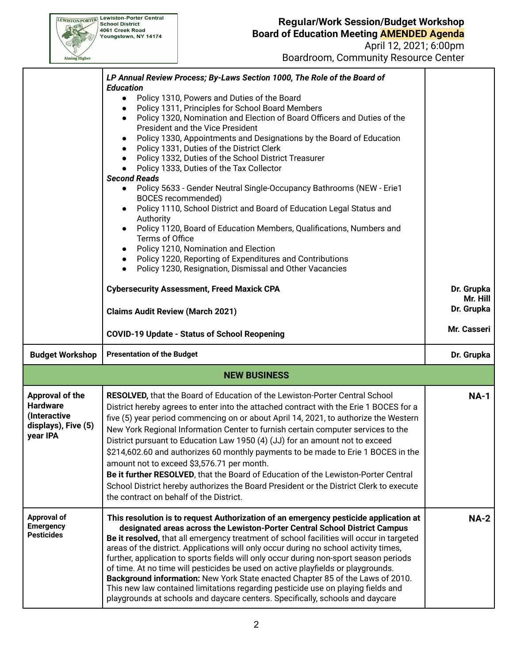# **Regular/Work Session/Budget Workshop Board of Education Meeting AMENDED Agenda**

April 12, 2021; 6:00pm Boardroom, Community Resource Center

| LP Annual Review Process; By-Laws Section 1000, The Role of the Board of<br><b>Education</b><br>Policy 1310, Powers and Duties of the Board<br>$\bullet$<br>Policy 1311, Principles for School Board Members<br>$\bullet$<br>Policy 1320, Nomination and Election of Board Officers and Duties of the<br>$\bullet$<br><b>President and the Vice President</b><br>Policy 1330, Appointments and Designations by the Board of Education<br>$\bullet$<br>Policy 1331, Duties of the District Clerk<br>$\bullet$<br>Policy 1332, Duties of the School District Treasurer<br>$\bullet$<br>Policy 1333, Duties of the Tax Collector<br>$\bullet$<br><b>Second Reads</b><br>Policy 5633 - Gender Neutral Single-Occupancy Bathrooms (NEW - Erie1<br>$\bullet$<br>BOCES recommended)<br>Policy 1110, School District and Board of Education Legal Status and<br>$\bullet$<br>Authority<br>Policy 1120, Board of Education Members, Qualifications, Numbers and<br>$\bullet$<br>Terms of Office<br>Policy 1210, Nomination and Election<br>$\bullet$<br>Policy 1220, Reporting of Expenditures and Contributions<br>$\bullet$<br>Policy 1230, Resignation, Dismissal and Other Vacancies<br>$\bullet$<br><b>Cybersecurity Assessment, Freed Maxick CPA</b> | Dr. Grupka                                                                    |  |  |  |
|---------------------------------------------------------------------------------------------------------------------------------------------------------------------------------------------------------------------------------------------------------------------------------------------------------------------------------------------------------------------------------------------------------------------------------------------------------------------------------------------------------------------------------------------------------------------------------------------------------------------------------------------------------------------------------------------------------------------------------------------------------------------------------------------------------------------------------------------------------------------------------------------------------------------------------------------------------------------------------------------------------------------------------------------------------------------------------------------------------------------------------------------------------------------------------------------------------------------------------------------------|-------------------------------------------------------------------------------|--|--|--|
| <b>Claims Audit Review (March 2021)</b>                                                                                                                                                                                                                                                                                                                                                                                                                                                                                                                                                                                                                                                                                                                                                                                                                                                                                                                                                                                                                                                                                                                                                                                                           | Mr. Hill<br>Dr. Grupka                                                        |  |  |  |
| <b>COVID-19 Update - Status of School Reopening</b>                                                                                                                                                                                                                                                                                                                                                                                                                                                                                                                                                                                                                                                                                                                                                                                                                                                                                                                                                                                                                                                                                                                                                                                               | Mr. Casseri                                                                   |  |  |  |
| <b>Presentation of the Budget</b>                                                                                                                                                                                                                                                                                                                                                                                                                                                                                                                                                                                                                                                                                                                                                                                                                                                                                                                                                                                                                                                                                                                                                                                                                 | Dr. Grupka                                                                    |  |  |  |
| <b>NEW BUSINESS</b>                                                                                                                                                                                                                                                                                                                                                                                                                                                                                                                                                                                                                                                                                                                                                                                                                                                                                                                                                                                                                                                                                                                                                                                                                               |                                                                               |  |  |  |
| RESOLVED, that the Board of Education of the Lewiston-Porter Central School<br>District hereby agrees to enter into the attached contract with the Erie 1 BOCES for a<br>five (5) year period commencing on or about April 14, 2021, to authorize the Western<br>New York Regional Information Center to furnish certain computer services to the<br>District pursuant to Education Law 1950 (4) (JJ) for an amount not to exceed<br>\$214,602.60 and authorizes 60 monthly payments to be made to Erie 1 BOCES in the<br>amount not to exceed \$3,576.71 per month.<br>Be it further RESOLVED, that the Board of Education of the Lewiston-Porter Central<br>School District hereby authorizes the Board President or the District Clerk to execute<br>the contract on behalf of the District.                                                                                                                                                                                                                                                                                                                                                                                                                                                   | <b>NA-1</b>                                                                   |  |  |  |
| This resolution is to request Authorization of an emergency pesticide application at<br>designated areas across the Lewiston-Porter Central School District Campus<br>Be it resolved, that all emergency treatment of school facilities will occur in targeted<br>areas of the district. Applications will only occur during no school activity times,<br>further, application to sports fields will only occur during non-sport season periods<br>of time. At no time will pesticides be used on active playfields or playgrounds.<br>Background information: New York State enacted Chapter 85 of the Laws of 2010.<br>This new law contained limitations regarding pesticide use on playing fields and                                                                                                                                                                                                                                                                                                                                                                                                                                                                                                                                         | <b>NA-2</b>                                                                   |  |  |  |
|                                                                                                                                                                                                                                                                                                                                                                                                                                                                                                                                                                                                                                                                                                                                                                                                                                                                                                                                                                                                                                                                                                                                                                                                                                                   | playgrounds at schools and daycare centers. Specifically, schools and daycare |  |  |  |